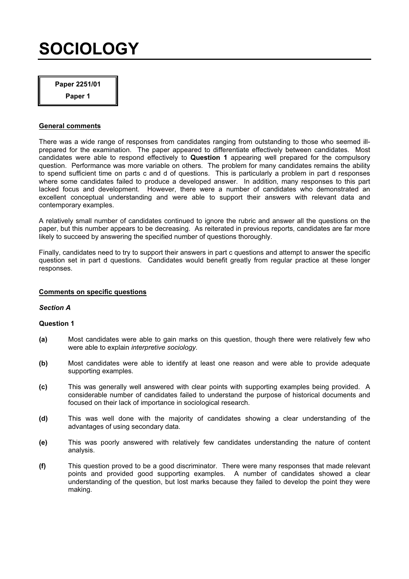## SOCIOLOGY

Paper 2251/01

Paper 1

### General comments

There was a wide range of responses from candidates ranging from outstanding to those who seemed illprepared for the examination. The paper appeared to differentiate effectively between candidates. Most candidates were able to respond effectively to **Question 1** appearing well prepared for the compulsory question. Performance was more variable on others. The problem for many candidates remains the ability to spend sufficient time on parts c and d of questions. This is particularly a problem in part d responses where some candidates failed to produce a developed answer. In addition, many responses to this part lacked focus and development. However, there were a number of candidates who demonstrated an excellent conceptual understanding and were able to support their answers with relevant data and contemporary examples.

A relatively small number of candidates continued to ignore the rubric and answer all the questions on the paper, but this number appears to be decreasing. As reiterated in previous reports, candidates are far more likely to succeed by answering the specified number of questions thoroughly.

Finally, candidates need to try to support their answers in part c questions and attempt to answer the specific question set in part d questions. Candidates would benefit greatly from regular practice at these longer responses.

## Comments on specific questions

### Section A

- (a) Most candidates were able to gain marks on this question, though there were relatively few who were able to explain interpretive sociology.
- (b) Most candidates were able to identify at least one reason and were able to provide adequate supporting examples.
- (c) This was generally well answered with clear points with supporting examples being provided. A considerable number of candidates failed to understand the purpose of historical documents and focused on their lack of importance in sociological research.
- (d) This was well done with the majority of candidates showing a clear understanding of the advantages of using secondary data.
- (e) This was poorly answered with relatively few candidates understanding the nature of content analysis.
- (f) This question proved to be a good discriminator. There were many responses that made relevant points and provided good supporting examples. A number of candidates showed a clear understanding of the question, but lost marks because they failed to develop the point they were making.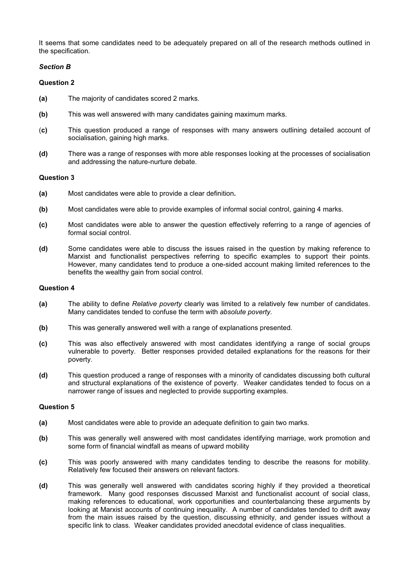It seems that some candidates need to be adequately prepared on all of the research methods outlined in the specification.

## Section B

## Question 2

- (a) The majority of candidates scored 2 marks.
- (b) This was well answered with many candidates gaining maximum marks.
- (c) This question produced a range of responses with many answers outlining detailed account of socialisation, gaining high marks.
- (d) There was a range of responses with more able responses looking at the processes of socialisation and addressing the nature-nurture debate.

## Question 3

- (a) Most candidates were able to provide a clear definition.
- (b) Most candidates were able to provide examples of informal social control, gaining 4 marks.
- (c) Most candidates were able to answer the question effectively referring to a range of agencies of formal social control.
- (d) Some candidates were able to discuss the issues raised in the question by making reference to Marxist and functionalist perspectives referring to specific examples to support their points. However, many candidates tend to produce a one-sided account making limited references to the benefits the wealthy gain from social control.

#### Question 4

- (a) The ability to define Relative poverty clearly was limited to a relatively few number of candidates. Many candidates tended to confuse the term with absolute poverty.
- (b) This was generally answered well with a range of explanations presented.
- (c) This was also effectively answered with most candidates identifying a range of social groups vulnerable to poverty. Better responses provided detailed explanations for the reasons for their poverty.
- (d) This question produced a range of responses with a minority of candidates discussing both cultural and structural explanations of the existence of poverty. Weaker candidates tended to focus on a narrower range of issues and neglected to provide supporting examples.

- (a) Most candidates were able to provide an adequate definition to gain two marks.
- (b) This was generally well answered with most candidates identifying marriage, work promotion and some form of financial windfall as means of upward mobility
- (c) This was poorly answered with many candidates tending to describe the reasons for mobility. Relatively few focused their answers on relevant factors.
- (d) This was generally well answered with candidates scoring highly if they provided a theoretical framework. Many good responses discussed Marxist and functionalist account of social class, making references to educational, work opportunities and counterbalancing these arguments by looking at Marxist accounts of continuing inequality. A number of candidates tended to drift away from the main issues raised by the question, discussing ethnicity, and gender issues without a specific link to class. Weaker candidates provided anecdotal evidence of class inequalities.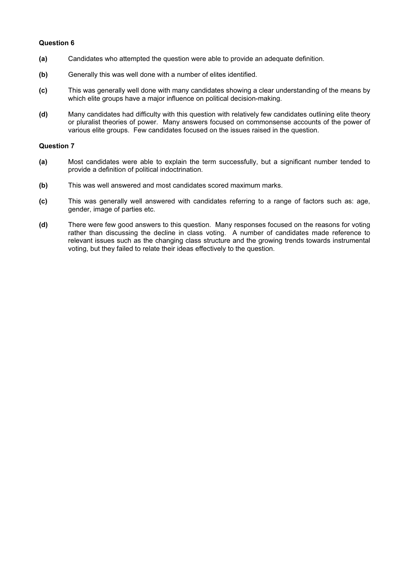## Question 6

- (a) Candidates who attempted the question were able to provide an adequate definition.
- (b) Generally this was well done with a number of elites identified.
- (c) This was generally well done with many candidates showing a clear understanding of the means by which elite groups have a major influence on political decision-making.
- (d) Many candidates had difficulty with this question with relatively few candidates outlining elite theory or pluralist theories of power. Many answers focused on commonsense accounts of the power of various elite groups. Few candidates focused on the issues raised in the question.

- (a) Most candidates were able to explain the term successfully, but a significant number tended to provide a definition of political indoctrination.
- (b) This was well answered and most candidates scored maximum marks.
- (c) This was generally well answered with candidates referring to a range of factors such as: age, gender, image of parties etc.
- (d) There were few good answers to this question. Many responses focused on the reasons for voting rather than discussing the decline in class voting. A number of candidates made reference to relevant issues such as the changing class structure and the growing trends towards instrumental voting, but they failed to relate their ideas effectively to the question.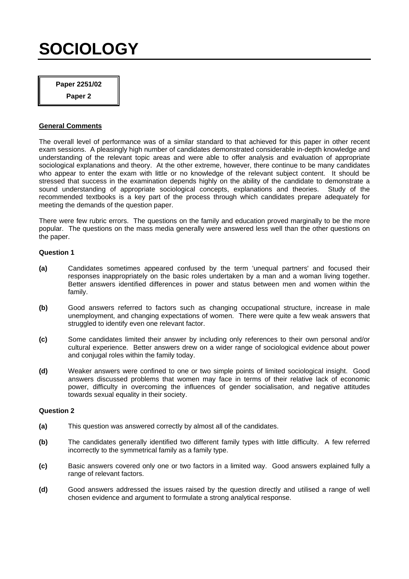# **SOCIOLOGY**

**Paper 2251/02** 

**Paper 2** 

## **General Comments**

The overall level of performance was of a similar standard to that achieved for this paper in other recent exam sessions. A pleasingly high number of candidates demonstrated considerable in-depth knowledge and understanding of the relevant topic areas and were able to offer analysis and evaluation of appropriate sociological explanations and theory. At the other extreme, however, there continue to be many candidates who appear to enter the exam with little or no knowledge of the relevant subject content. It should be stressed that success in the examination depends highly on the ability of the candidate to demonstrate a sound understanding of appropriate sociological concepts, explanations and theories. Study of the recommended textbooks is a key part of the process through which candidates prepare adequately for meeting the demands of the question paper.

There were few rubric errors. The questions on the family and education proved marginally to be the more popular. The questions on the mass media generally were answered less well than the other questions on the paper.

## **Question 1**

- **(a)** Candidates sometimes appeared confused by the term 'unequal partners' and focused their responses inappropriately on the basic roles undertaken by a man and a woman living together. Better answers identified differences in power and status between men and women within the family.
- **(b)** Good answers referred to factors such as changing occupational structure, increase in male unemployment, and changing expectations of women. There were quite a few weak answers that struggled to identify even one relevant factor.
- **(c)** Some candidates limited their answer by including only references to their own personal and/or cultural experience. Better answers drew on a wider range of sociological evidence about power and conjugal roles within the family today.
- **(d)** Weaker answers were confined to one or two simple points of limited sociological insight. Good answers discussed problems that women may face in terms of their relative lack of economic power, difficulty in overcoming the influences of gender socialisation, and negative attitudes towards sexual equality in their society.

- **(a)** This question was answered correctly by almost all of the candidates.
- **(b)** The candidates generally identified two different family types with little difficulty. A few referred incorrectly to the symmetrical family as a family type.
- **(c)** Basic answers covered only one or two factors in a limited way. Good answers explained fully a range of relevant factors.
- **(d)** Good answers addressed the issues raised by the question directly and utilised a range of well chosen evidence and argument to formulate a strong analytical response.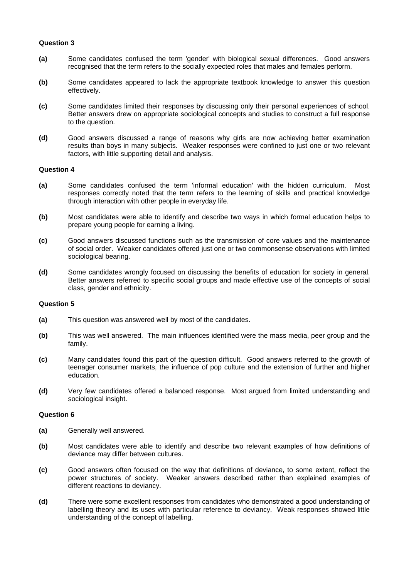### **Question 3**

- **(a)** Some candidates confused the term 'gender' with biological sexual differences. Good answers recognised that the term refers to the socially expected roles that males and females perform.
- **(b)** Some candidates appeared to lack the appropriate textbook knowledge to answer this question effectively.
- **(c)** Some candidates limited their responses by discussing only their personal experiences of school. Better answers drew on appropriate sociological concepts and studies to construct a full response to the question.
- **(d)** Good answers discussed a range of reasons why girls are now achieving better examination results than boys in many subjects. Weaker responses were confined to just one or two relevant factors, with little supporting detail and analysis.

### **Question 4**

- **(a)** Some candidates confused the term 'informal education' with the hidden curriculum. Most responses correctly noted that the term refers to the learning of skills and practical knowledge through interaction with other people in everyday life.
- **(b)** Most candidates were able to identify and describe two ways in which formal education helps to prepare young people for earning a living.
- **(c)** Good answers discussed functions such as the transmission of core values and the maintenance of social order. Weaker candidates offered just one or two commonsense observations with limited sociological bearing.
- **(d)** Some candidates wrongly focused on discussing the benefits of education for society in general. Better answers referred to specific social groups and made effective use of the concepts of social class, gender and ethnicity.

### **Question 5**

- **(a)** This question was answered well by most of the candidates.
- **(b)** This was well answered. The main influences identified were the mass media, peer group and the family.
- **(c)** Many candidates found this part of the question difficult. Good answers referred to the growth of teenager consumer markets, the influence of pop culture and the extension of further and higher education.
- **(d)** Very few candidates offered a balanced response. Most argued from limited understanding and sociological insight.

- **(a)** Generally well answered.
- **(b)** Most candidates were able to identify and describe two relevant examples of how definitions of deviance may differ between cultures.
- **(c)** Good answers often focused on the way that definitions of deviance, to some extent, reflect the power structures of society. Weaker answers described rather than explained examples of different reactions to deviancy.
- **(d)** There were some excellent responses from candidates who demonstrated a good understanding of labelling theory and its uses with particular reference to deviancy. Weak responses showed little understanding of the concept of labelling.